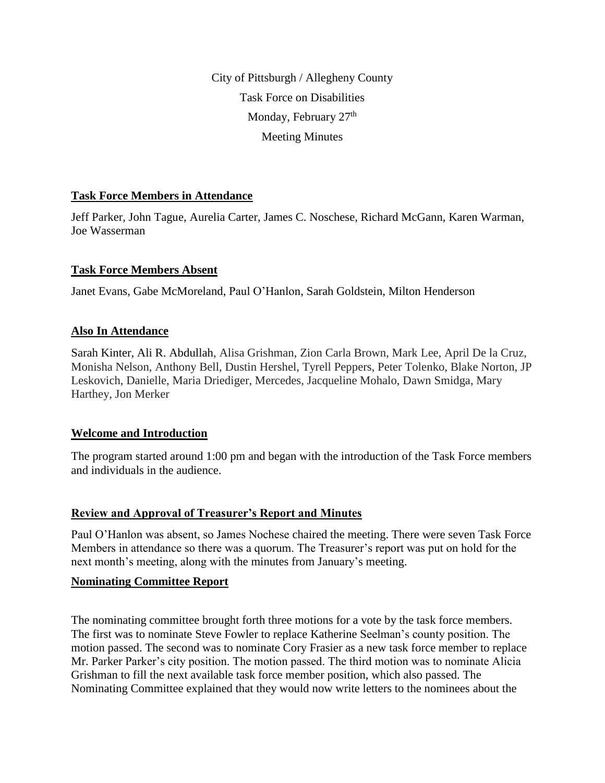City of Pittsburgh / Allegheny County Task Force on Disabilities Monday, February 27<sup>th</sup> Meeting Minutes

## **Task Force Members in Attendance**

Jeff Parker, John Tague, Aurelia Carter, James C. Noschese, Richard McGann, Karen Warman, Joe Wasserman

### **Task Force Members Absent**

Janet Evans, Gabe McMoreland, Paul O'Hanlon, Sarah Goldstein, Milton Henderson

### **Also In Attendance**

Sarah Kinter, Ali R. Abdullah, Alisa Grishman, Zion Carla Brown, Mark Lee, April De la Cruz, Monisha Nelson, Anthony Bell, Dustin Hershel, Tyrell Peppers, Peter Tolenko, Blake Norton, JP Leskovich, Danielle, Maria Driediger, Mercedes, Jacqueline Mohalo, Dawn Smidga, Mary Harthey, Jon Merker

### **Welcome and Introduction**

The program started around 1:00 pm and began with the introduction of the Task Force members and individuals in the audience.

### **Review and Approval of Treasurer's Report and Minutes**

Paul O'Hanlon was absent, so James Nochese chaired the meeting. There were seven Task Force Members in attendance so there was a quorum. The Treasurer's report was put on hold for the next month's meeting, along with the minutes from January's meeting.

### **Nominating Committee Report**

The nominating committee brought forth three motions for a vote by the task force members. The first was to nominate Steve Fowler to replace Katherine Seelman's county position. The motion passed. The second was to nominate Cory Frasier as a new task force member to replace Mr. Parker Parker's city position. The motion passed. The third motion was to nominate Alicia Grishman to fill the next available task force member position, which also passed. The Nominating Committee explained that they would now write letters to the nominees about the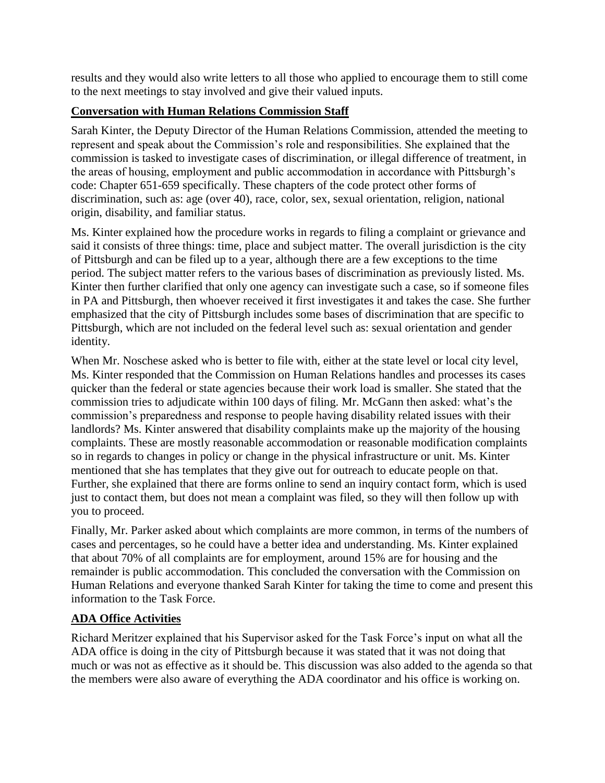results and they would also write letters to all those who applied to encourage them to still come to the next meetings to stay involved and give their valued inputs.

# **Conversation with Human Relations Commission Staff**

Sarah Kinter, the Deputy Director of the Human Relations Commission, attended the meeting to represent and speak about the Commission's role and responsibilities. She explained that the commission is tasked to investigate cases of discrimination, or illegal difference of treatment, in the areas of housing, employment and public accommodation in accordance with Pittsburgh's code: Chapter 651-659 specifically. These chapters of the code protect other forms of discrimination, such as: age (over 40), race, color, sex, sexual orientation, religion, national origin, disability, and familiar status.

Ms. Kinter explained how the procedure works in regards to filing a complaint or grievance and said it consists of three things: time, place and subject matter. The overall jurisdiction is the city of Pittsburgh and can be filed up to a year, although there are a few exceptions to the time period. The subject matter refers to the various bases of discrimination as previously listed. Ms. Kinter then further clarified that only one agency can investigate such a case, so if someone files in PA and Pittsburgh, then whoever received it first investigates it and takes the case. She further emphasized that the city of Pittsburgh includes some bases of discrimination that are specific to Pittsburgh, which are not included on the federal level such as: sexual orientation and gender identity.

When Mr. Noschese asked who is better to file with, either at the state level or local city level, Ms. Kinter responded that the Commission on Human Relations handles and processes its cases quicker than the federal or state agencies because their work load is smaller. She stated that the commission tries to adjudicate within 100 days of filing. Mr. McGann then asked: what's the commission's preparedness and response to people having disability related issues with their landlords? Ms. Kinter answered that disability complaints make up the majority of the housing complaints. These are mostly reasonable accommodation or reasonable modification complaints so in regards to changes in policy or change in the physical infrastructure or unit. Ms. Kinter mentioned that she has templates that they give out for outreach to educate people on that. Further, she explained that there are forms online to send an inquiry contact form, which is used just to contact them, but does not mean a complaint was filed, so they will then follow up with you to proceed.

Finally, Mr. Parker asked about which complaints are more common, in terms of the numbers of cases and percentages, so he could have a better idea and understanding. Ms. Kinter explained that about 70% of all complaints are for employment, around 15% are for housing and the remainder is public accommodation. This concluded the conversation with the Commission on Human Relations and everyone thanked Sarah Kinter for taking the time to come and present this information to the Task Force.

# **ADA Office Activities**

Richard Meritzer explained that his Supervisor asked for the Task Force's input on what all the ADA office is doing in the city of Pittsburgh because it was stated that it was not doing that much or was not as effective as it should be. This discussion was also added to the agenda so that the members were also aware of everything the ADA coordinator and his office is working on.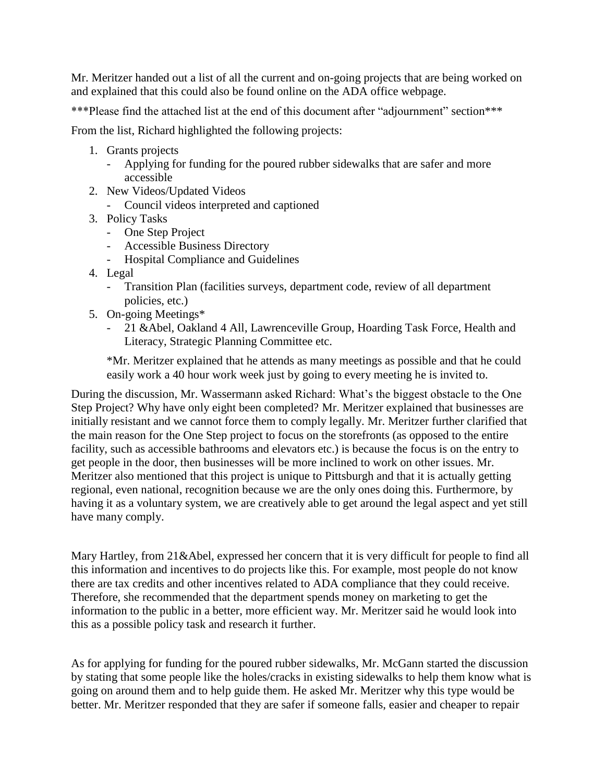Mr. Meritzer handed out a list of all the current and on-going projects that are being worked on and explained that this could also be found online on the ADA office webpage.

\*\*\*Please find the attached list at the end of this document after "adjournment" section\*\*\*

From the list, Richard highlighted the following projects:

- 1. Grants projects
	- Applying for funding for the poured rubber sidewalks that are safer and more accessible
- 2. New Videos/Updated Videos
	- Council videos interpreted and captioned
- 3. Policy Tasks
	- One Step Project
	- Accessible Business Directory
	- Hospital Compliance and Guidelines
- 4. Legal
	- Transition Plan (facilities surveys, department code, review of all department policies, etc.)
- 5. On-going Meetings\*
	- 21 &Abel, Oakland 4 All, Lawrenceville Group, Hoarding Task Force, Health and Literacy, Strategic Planning Committee etc.

\*Mr. Meritzer explained that he attends as many meetings as possible and that he could easily work a 40 hour work week just by going to every meeting he is invited to.

During the discussion, Mr. Wassermann asked Richard: What's the biggest obstacle to the One Step Project? Why have only eight been completed? Mr. Meritzer explained that businesses are initially resistant and we cannot force them to comply legally. Mr. Meritzer further clarified that the main reason for the One Step project to focus on the storefronts (as opposed to the entire facility, such as accessible bathrooms and elevators etc.) is because the focus is on the entry to get people in the door, then businesses will be more inclined to work on other issues. Mr. Meritzer also mentioned that this project is unique to Pittsburgh and that it is actually getting regional, even national, recognition because we are the only ones doing this. Furthermore, by having it as a voluntary system, we are creatively able to get around the legal aspect and yet still have many comply.

Mary Hartley, from 21&Abel, expressed her concern that it is very difficult for people to find all this information and incentives to do projects like this. For example, most people do not know there are tax credits and other incentives related to ADA compliance that they could receive. Therefore, she recommended that the department spends money on marketing to get the information to the public in a better, more efficient way. Mr. Meritzer said he would look into this as a possible policy task and research it further.

As for applying for funding for the poured rubber sidewalks, Mr. McGann started the discussion by stating that some people like the holes/cracks in existing sidewalks to help them know what is going on around them and to help guide them. He asked Mr. Meritzer why this type would be better. Mr. Meritzer responded that they are safer if someone falls, easier and cheaper to repair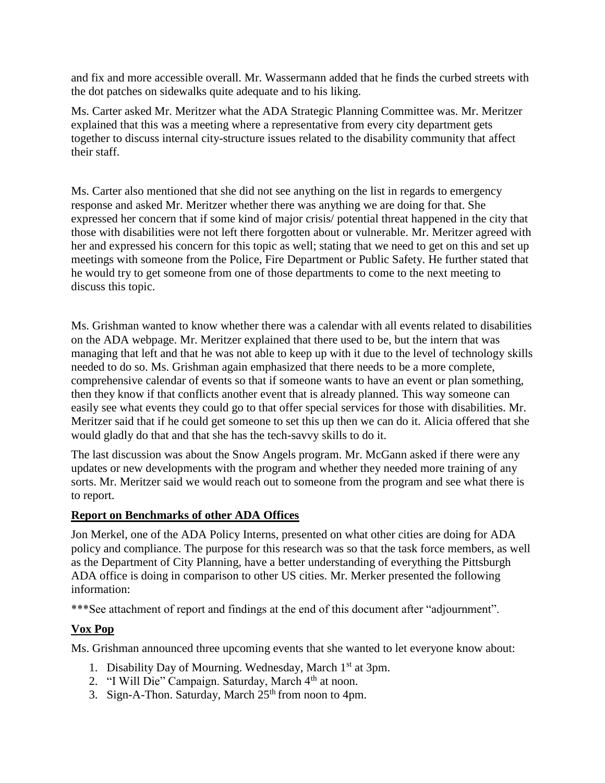and fix and more accessible overall. Mr. Wassermann added that he finds the curbed streets with the dot patches on sidewalks quite adequate and to his liking.

Ms. Carter asked Mr. Meritzer what the ADA Strategic Planning Committee was. Mr. Meritzer explained that this was a meeting where a representative from every city department gets together to discuss internal city-structure issues related to the disability community that affect their staff.

Ms. Carter also mentioned that she did not see anything on the list in regards to emergency response and asked Mr. Meritzer whether there was anything we are doing for that. She expressed her concern that if some kind of major crisis/ potential threat happened in the city that those with disabilities were not left there forgotten about or vulnerable. Mr. Meritzer agreed with her and expressed his concern for this topic as well; stating that we need to get on this and set up meetings with someone from the Police, Fire Department or Public Safety. He further stated that he would try to get someone from one of those departments to come to the next meeting to discuss this topic.

Ms. Grishman wanted to know whether there was a calendar with all events related to disabilities on the ADA webpage. Mr. Meritzer explained that there used to be, but the intern that was managing that left and that he was not able to keep up with it due to the level of technology skills needed to do so. Ms. Grishman again emphasized that there needs to be a more complete, comprehensive calendar of events so that if someone wants to have an event or plan something, then they know if that conflicts another event that is already planned. This way someone can easily see what events they could go to that offer special services for those with disabilities. Mr. Meritzer said that if he could get someone to set this up then we can do it. Alicia offered that she would gladly do that and that she has the tech-savvy skills to do it.

The last discussion was about the Snow Angels program. Mr. McGann asked if there were any updates or new developments with the program and whether they needed more training of any sorts. Mr. Meritzer said we would reach out to someone from the program and see what there is to report.

## **Report on Benchmarks of other ADA Offices**

Jon Merkel, one of the ADA Policy Interns, presented on what other cities are doing for ADA policy and compliance. The purpose for this research was so that the task force members, as well as the Department of City Planning, have a better understanding of everything the Pittsburgh ADA office is doing in comparison to other US cities. Mr. Merker presented the following information:

\*\*\*See attachment of report and findings at the end of this document after "adjournment".

## **Vox Pop**

Ms. Grishman announced three upcoming events that she wanted to let everyone know about:

- 1. Disability Day of Mourning. Wednesday, March 1<sup>st</sup> at 3pm.
- 2. "I Will Die" Campaign. Saturday, March 4<sup>th</sup> at noon.
- 3. Sign-A-Thon. Saturday, March  $25<sup>th</sup>$  from noon to 4pm.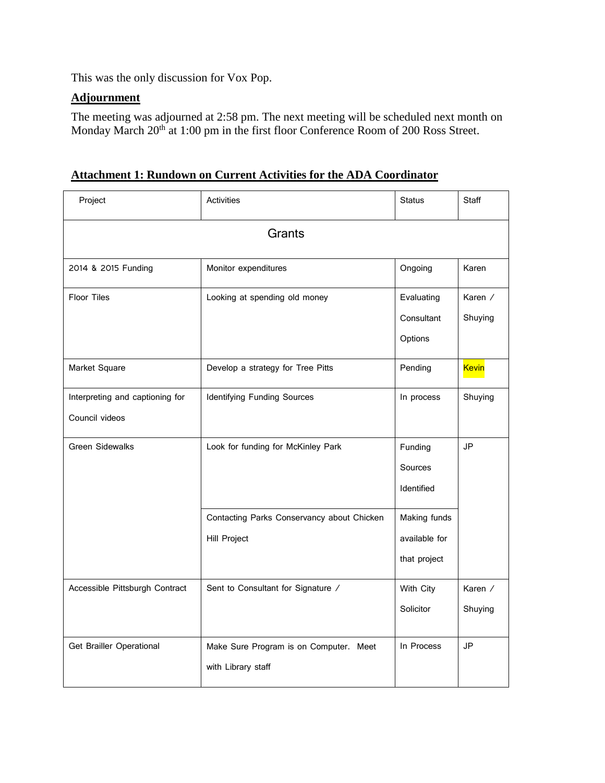This was the only discussion for Vox Pop.

# **Adjournment**

The meeting was adjourned at 2:58 pm. The next meeting will be scheduled next month on Monday March 20<sup>th</sup> at 1:00 pm in the first floor Conference Room of 200 Ross Street.

| Attachment 1: Rundown on Current Activities for the ADA Coordinator |  |
|---------------------------------------------------------------------|--|
|                                                                     |  |

| Project                         | Activities                                 | <b>Status</b> | <b>Staff</b>   |
|---------------------------------|--------------------------------------------|---------------|----------------|
|                                 | Grants                                     |               |                |
| 2014 & 2015 Funding             | Monitor expenditures                       | Ongoing       | Karen          |
| <b>Floor Tiles</b>              | Looking at spending old money              | Evaluating    | Karen /        |
|                                 |                                            | Consultant    | Shuying        |
|                                 |                                            | Options       |                |
| Market Square                   | Develop a strategy for Tree Pitts          | Pending       | <b>Kevin</b>   |
| Interpreting and captioning for | <b>Identifying Funding Sources</b>         | In process    | Shuying        |
| Council videos                  |                                            |               |                |
| <b>Green Sidewalks</b>          | Look for funding for McKinley Park         | Funding       | <b>JP</b>      |
|                                 |                                            | Sources       |                |
|                                 |                                            | Identified    |                |
|                                 | Contacting Parks Conservancy about Chicken | Making funds  |                |
|                                 | <b>Hill Project</b>                        | available for |                |
|                                 |                                            | that project  |                |
| Accessible Pittsburgh Contract  | Sent to Consultant for Signature /         | With City     | Karen $\angle$ |
|                                 |                                            | Solicitor     | Shuying        |
| Get Brailler Operational        | Make Sure Program is on Computer. Meet     | In Process    | JP             |
|                                 | with Library staff                         |               |                |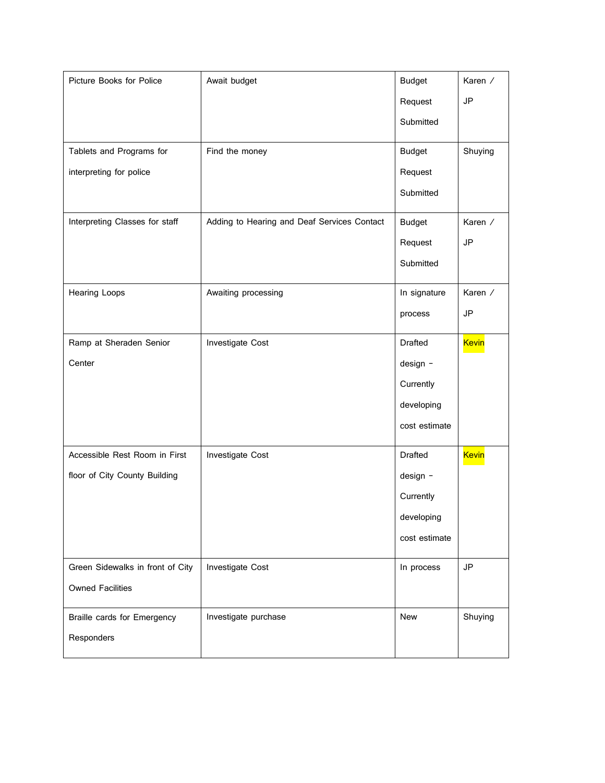| Picture Books for Police         | Await budget                                | <b>Budget</b>  | Karen /      |
|----------------------------------|---------------------------------------------|----------------|--------------|
|                                  |                                             | Request        | <b>JP</b>    |
|                                  |                                             | Submitted      |              |
| Tablets and Programs for         | Find the money                              | <b>Budget</b>  | Shuying      |
| interpreting for police          |                                             | Request        |              |
|                                  |                                             | Submitted      |              |
| Interpreting Classes for staff   | Adding to Hearing and Deaf Services Contact | <b>Budget</b>  | Karen /      |
|                                  |                                             | Request        | <b>JP</b>    |
|                                  |                                             | Submitted      |              |
| Hearing Loops                    | Awaiting processing                         | In signature   | Karen /      |
|                                  |                                             | process        | JP           |
| Ramp at Sheraden Senior          | Investigate Cost                            | <b>Drafted</b> | <b>Kevin</b> |
| Center                           |                                             | design -       |              |
|                                  |                                             | Currently      |              |
|                                  |                                             | developing     |              |
|                                  |                                             | cost estimate  |              |
| Accessible Rest Room in First    | Investigate Cost                            | <b>Drafted</b> | <b>Kevin</b> |
| floor of City County Building    |                                             | design -       |              |
|                                  |                                             | Currently      |              |
|                                  |                                             | developing     |              |
|                                  |                                             | cost estimate  |              |
| Green Sidewalks in front of City | Investigate Cost                            | In process     | JP           |
| <b>Owned Facilities</b>          |                                             |                |              |
| Braille cards for Emergency      | Investigate purchase                        | New            | Shuying      |
| Responders                       |                                             |                |              |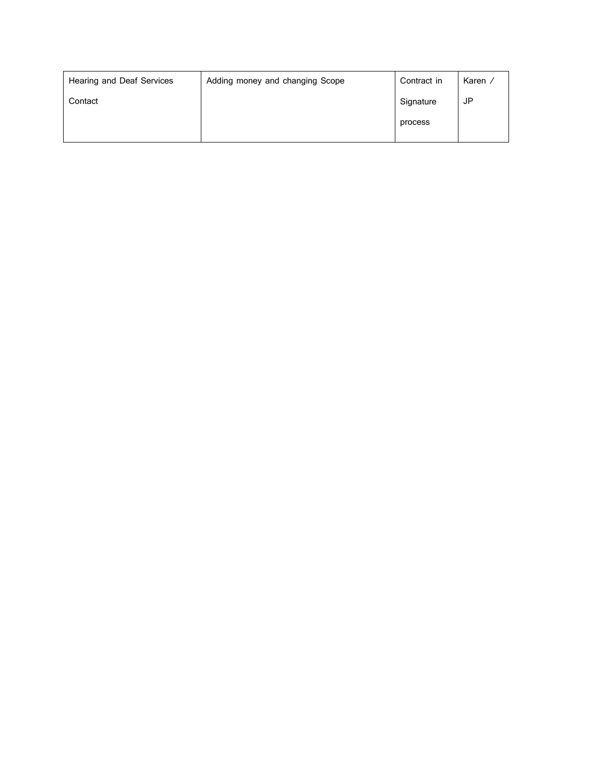| Hearing and Deaf Services | Adding money and changing Scope | Contract in | Karen / |
|---------------------------|---------------------------------|-------------|---------|
| Contact                   |                                 | Signature   | JP      |
|                           |                                 | process     |         |
|                           |                                 |             |         |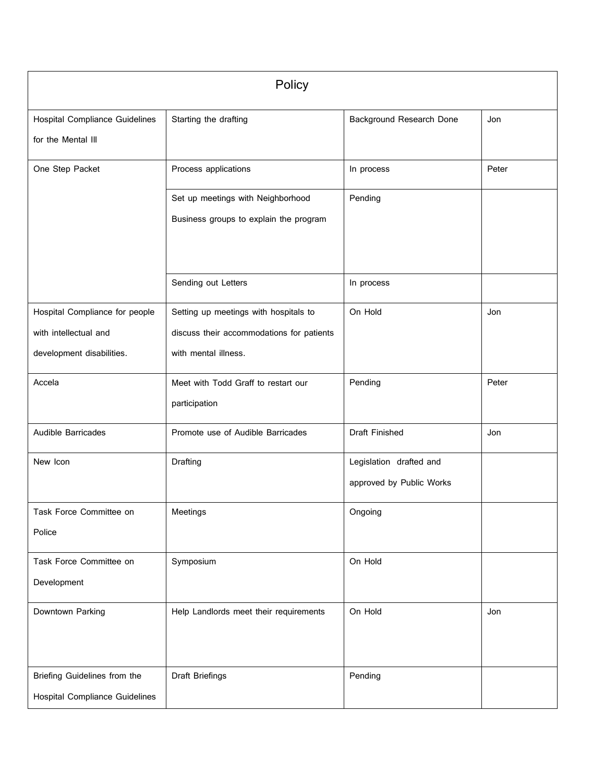|                                                                                      | Policy                                                                                                     |                                                     |       |  |
|--------------------------------------------------------------------------------------|------------------------------------------------------------------------------------------------------------|-----------------------------------------------------|-------|--|
| <b>Hospital Compliance Guidelines</b><br>for the Mental III                          | Starting the drafting                                                                                      | Background Research Done                            | Jon   |  |
| One Step Packet                                                                      | Process applications                                                                                       | In process                                          | Peter |  |
|                                                                                      | Set up meetings with Neighborhood<br>Business groups to explain the program                                | Pending                                             |       |  |
|                                                                                      | Sending out Letters                                                                                        | In process                                          |       |  |
| Hospital Compliance for people<br>with intellectual and<br>development disabilities. | Setting up meetings with hospitals to<br>discuss their accommodations for patients<br>with mental illness. | On Hold                                             | Jon   |  |
| Accela                                                                               | Meet with Todd Graff to restart our<br>participation                                                       | Pending                                             | Peter |  |
| <b>Audible Barricades</b>                                                            | Promote use of Audible Barricades                                                                          | Draft Finished                                      | Jon   |  |
| New Icon                                                                             | Drafting                                                                                                   | Legislation drafted and<br>approved by Public Works |       |  |
| Task Force Committee on<br>Police                                                    | Meetings                                                                                                   | Ongoing                                             |       |  |
| Task Force Committee on<br>Development                                               | Symposium                                                                                                  | On Hold                                             |       |  |
| Downtown Parking                                                                     | Help Landlords meet their requirements                                                                     | On Hold                                             | Jon   |  |
| Briefing Guidelines from the<br><b>Hospital Compliance Guidelines</b>                | Draft Briefings                                                                                            | Pending                                             |       |  |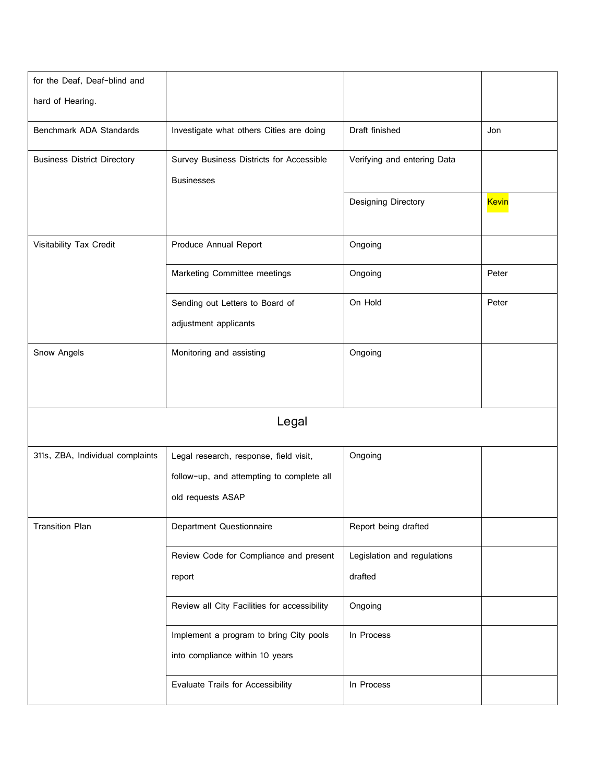| for the Deaf, Deaf-blind and       |                                              |                             |              |
|------------------------------------|----------------------------------------------|-----------------------------|--------------|
| hard of Hearing.                   |                                              |                             |              |
| Benchmark ADA Standards            | Investigate what others Cities are doing     | Draft finished              | Jon          |
| <b>Business District Directory</b> | Survey Business Districts for Accessible     | Verifying and entering Data |              |
|                                    | <b>Businesses</b>                            |                             |              |
|                                    |                                              | Designing Directory         | <b>Kevin</b> |
| Visitability Tax Credit            | Produce Annual Report                        | Ongoing                     |              |
|                                    | Marketing Committee meetings                 | Ongoing                     | Peter        |
|                                    | Sending out Letters to Board of              | On Hold                     | Peter        |
|                                    | adjustment applicants                        |                             |              |
| Snow Angels                        | Monitoring and assisting                     | Ongoing                     |              |
|                                    |                                              |                             |              |
|                                    |                                              |                             |              |
|                                    | Legal                                        |                             |              |
| 311s, ZBA, Individual complaints   | Legal research, response, field visit,       | Ongoing                     |              |
|                                    | follow-up, and attempting to complete all    |                             |              |
|                                    | old requests ASAP                            |                             |              |
| <b>Transition Plan</b>             | <b>Department Questionnaire</b>              | Report being drafted        |              |
|                                    | Review Code for Compliance and present       | Legislation and regulations |              |
|                                    | report                                       | drafted                     |              |
|                                    | Review all City Facilities for accessibility | Ongoing                     |              |
|                                    | Implement a program to bring City pools      | In Process                  |              |
|                                    | into compliance within 10 years              |                             |              |
|                                    | Evaluate Trails for Accessibility            | In Process                  |              |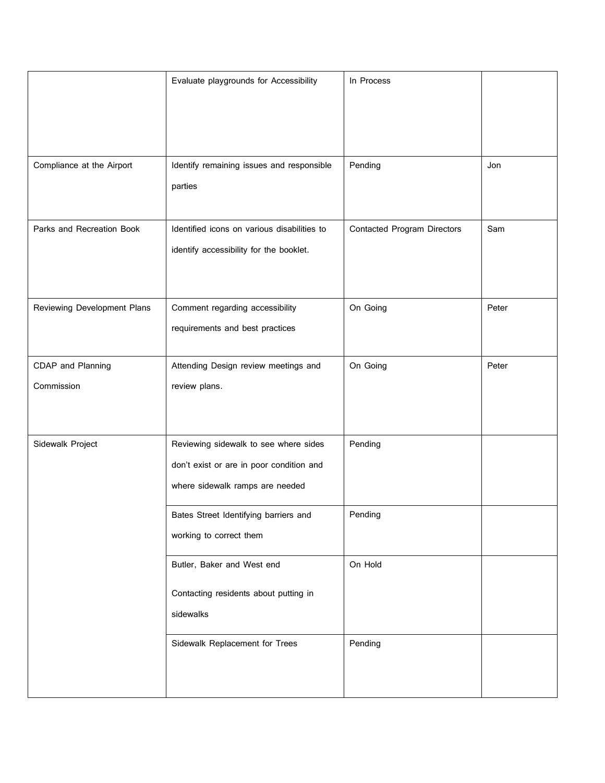|                                 | Evaluate playgrounds for Accessibility                                                                               | In Process                         |       |
|---------------------------------|----------------------------------------------------------------------------------------------------------------------|------------------------------------|-------|
| Compliance at the Airport       | Identify remaining issues and responsible<br>parties                                                                 | Pending                            | Jon   |
| Parks and Recreation Book       | Identified icons on various disabilities to<br>identify accessibility for the booklet.                               | <b>Contacted Program Directors</b> | Sam   |
| Reviewing Development Plans     | Comment regarding accessibility<br>requirements and best practices                                                   | On Going                           | Peter |
| CDAP and Planning<br>Commission | Attending Design review meetings and<br>review plans.                                                                | On Going                           | Peter |
| Sidewalk Project                | Reviewing sidewalk to see where sides<br>don't exist or are in poor condition and<br>where sidewalk ramps are needed | Pending                            |       |
|                                 | Bates Street Identifying barriers and<br>working to correct them                                                     | Pending                            |       |
|                                 | Butler, Baker and West end<br>Contacting residents about putting in<br>sidewalks                                     | On Hold                            |       |
|                                 | Sidewalk Replacement for Trees                                                                                       | Pending                            |       |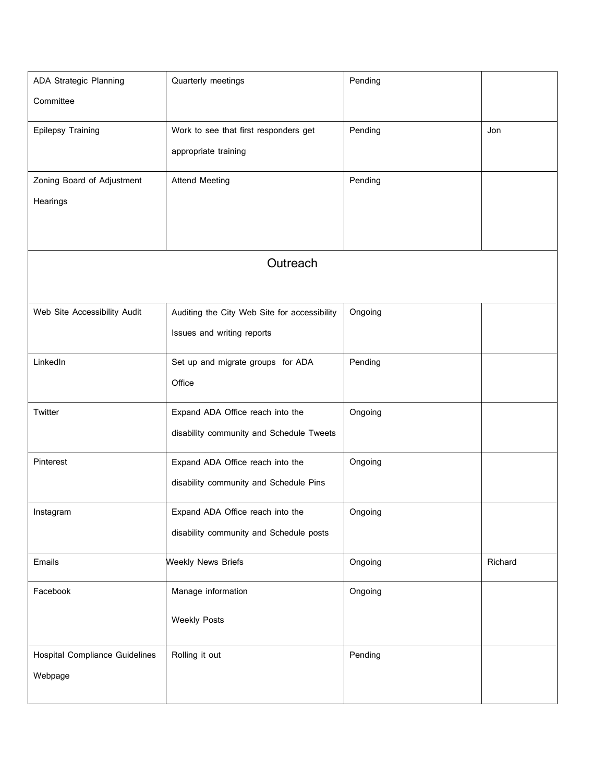| <b>ADA Strategic Planning</b>         | Quarterly meetings                           | Pending |         |
|---------------------------------------|----------------------------------------------|---------|---------|
| Committee                             |                                              |         |         |
| Epilepsy Training                     | Work to see that first responders get        | Pending | Jon     |
|                                       | appropriate training                         |         |         |
|                                       |                                              |         |         |
| Zoning Board of Adjustment            | <b>Attend Meeting</b>                        | Pending |         |
| Hearings                              |                                              |         |         |
|                                       |                                              |         |         |
|                                       | Outreach                                     |         |         |
|                                       |                                              |         |         |
| Web Site Accessibility Audit          | Auditing the City Web Site for accessibility | Ongoing |         |
|                                       | Issues and writing reports                   |         |         |
| LinkedIn                              | Set up and migrate groups for ADA            | Pending |         |
|                                       | Office                                       |         |         |
|                                       |                                              |         |         |
| Twitter                               | Expand ADA Office reach into the             | Ongoing |         |
|                                       | disability community and Schedule Tweets     |         |         |
| Pinterest                             | Expand ADA Office reach into the             | Ongoing |         |
|                                       | disability community and Schedule Pins       |         |         |
| Instagram                             | Expand ADA Office reach into the             | Ongoing |         |
|                                       | disability community and Schedule posts      |         |         |
| Emails                                | <b>Weekly News Briefs</b>                    | Ongoing | Richard |
|                                       |                                              |         |         |
| Facebook                              | Manage information                           | Ongoing |         |
|                                       | <b>Weekly Posts</b>                          |         |         |
|                                       |                                              |         |         |
| <b>Hospital Compliance Guidelines</b> | Rolling it out                               | Pending |         |
| Webpage                               |                                              |         |         |
|                                       |                                              |         |         |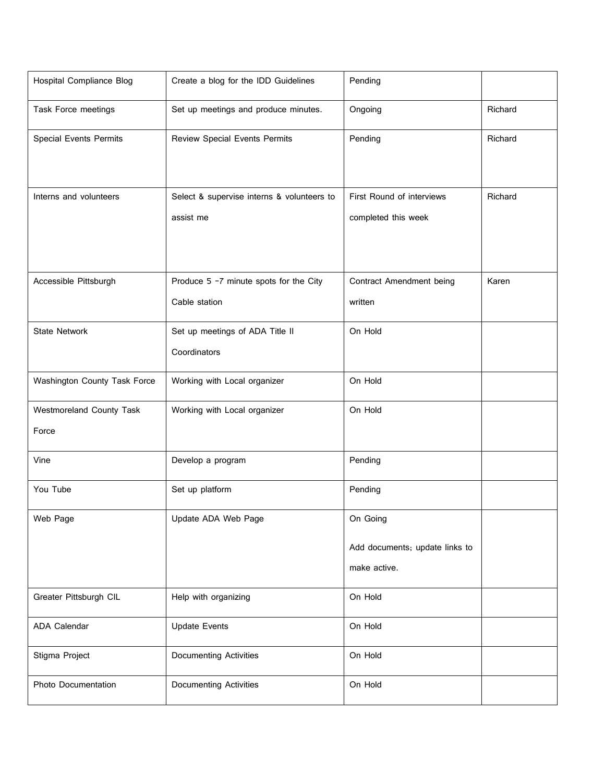| <b>Hospital Compliance Blog</b> | Create a blog for the IDD Guidelines       | Pending                        |         |
|---------------------------------|--------------------------------------------|--------------------------------|---------|
| Task Force meetings             | Set up meetings and produce minutes.       | Ongoing                        | Richard |
| <b>Special Events Permits</b>   | <b>Review Special Events Permits</b>       | Pending                        | Richard |
|                                 |                                            |                                |         |
| Interns and volunteers          | Select & supervise interns & volunteers to | First Round of interviews      | Richard |
|                                 | assist me                                  | completed this week            |         |
|                                 |                                            |                                |         |
| Accessible Pittsburgh           | Produce 5 -7 minute spots for the City     | Contract Amendment being       | Karen   |
|                                 | Cable station                              | written                        |         |
| <b>State Network</b>            | Set up meetings of ADA Title II            | On Hold                        |         |
|                                 | Coordinators                               |                                |         |
| Washington County Task Force    | Working with Local organizer               | On Hold                        |         |
| Westmoreland County Task        | Working with Local organizer               | On Hold                        |         |
| Force                           |                                            |                                |         |
| Vine                            | Develop a program                          | Pending                        |         |
| You Tube                        | Set up platform                            | Pending                        |         |
| Web Page                        | Update ADA Web Page                        | On Going                       |         |
|                                 |                                            | Add documents; update links to |         |
|                                 |                                            | make active.                   |         |
| Greater Pittsburgh CIL          | Help with organizing                       | On Hold                        |         |
| ADA Calendar                    | <b>Update Events</b>                       | On Hold                        |         |
| Stigma Project                  | <b>Documenting Activities</b>              | On Hold                        |         |
| <b>Photo Documentation</b>      | <b>Documenting Activities</b>              | On Hold                        |         |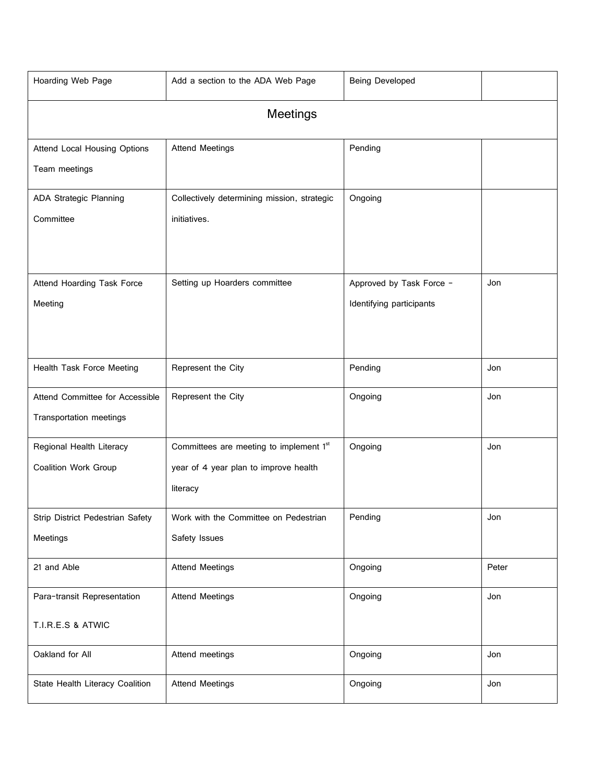| Hoarding Web Page                | Add a section to the ADA Web Page           | Being Developed          |       |  |  |
|----------------------------------|---------------------------------------------|--------------------------|-------|--|--|
|                                  | <b>Meetings</b>                             |                          |       |  |  |
| Attend Local Housing Options     | <b>Attend Meetings</b>                      | Pending                  |       |  |  |
| Team meetings                    |                                             |                          |       |  |  |
| <b>ADA Strategic Planning</b>    | Collectively determining mission, strategic | Ongoing                  |       |  |  |
| Committee                        | initiatives.                                |                          |       |  |  |
| Attend Hoarding Task Force       | Setting up Hoarders committee               | Approved by Task Force - | Jon   |  |  |
| Meeting                          |                                             | Identifying participants |       |  |  |
|                                  |                                             |                          |       |  |  |
| Health Task Force Meeting        | Represent the City                          | Pending                  | Jon   |  |  |
| Attend Committee for Accessible  | Represent the City                          | Ongoing                  | Jon   |  |  |
| Transportation meetings          |                                             |                          |       |  |  |
| Regional Health Literacy         | Committees are meeting to implement 1st     | Ongoing                  | Jon   |  |  |
| <b>Coalition Work Group</b>      | year of 4 year plan to improve health       |                          |       |  |  |
|                                  | literacy                                    |                          |       |  |  |
| Strip District Pedestrian Safety | Work with the Committee on Pedestrian       | Pending                  | Jon   |  |  |
| Meetings                         | Safety Issues                               |                          |       |  |  |
| 21 and Able                      | <b>Attend Meetings</b>                      | Ongoing                  | Peter |  |  |
| Para-transit Representation      | <b>Attend Meetings</b>                      | Ongoing                  | Jon   |  |  |
| T.I.R.E.S & ATWIC                |                                             |                          |       |  |  |
| Oakland for All                  | Attend meetings                             | Ongoing                  | Jon   |  |  |
| State Health Literacy Coalition  | <b>Attend Meetings</b>                      | Ongoing                  | Jon   |  |  |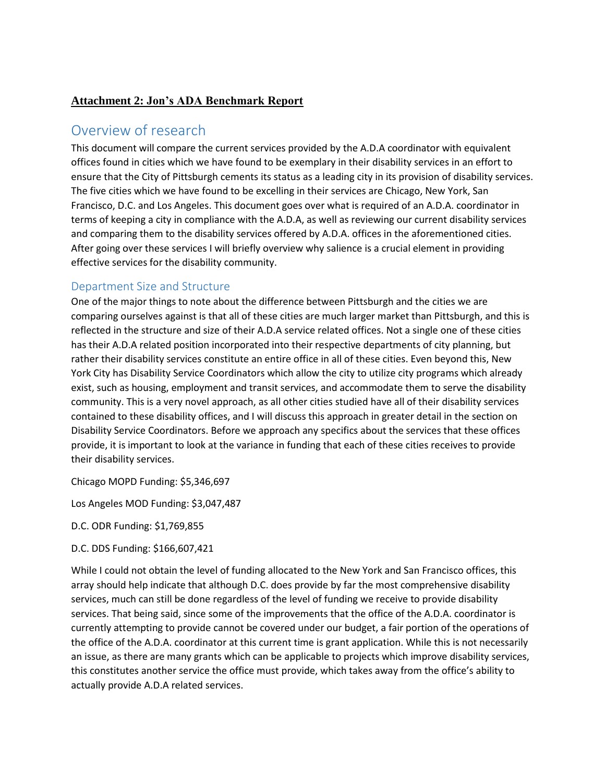# **Attachment 2: Jon's ADA Benchmark Report**

# Overview of research

This document will compare the current services provided by the A.D.A coordinator with equivalent offices found in cities which we have found to be exemplary in their disability services in an effort to ensure that the City of Pittsburgh cements its status as a leading city in its provision of disability services. The five cities which we have found to be excelling in their services are Chicago, New York, San Francisco, D.C. and Los Angeles. This document goes over what is required of an A.D.A. coordinator in terms of keeping a city in compliance with the A.D.A, as well as reviewing our current disability services and comparing them to the disability services offered by A.D.A. offices in the aforementioned cities. After going over these services I will briefly overview why salience is a crucial element in providing effective services for the disability community.

## Department Size and Structure

One of the major things to note about the difference between Pittsburgh and the cities we are comparing ourselves against is that all of these cities are much larger market than Pittsburgh, and this is reflected in the structure and size of their A.D.A service related offices. Not a single one of these cities has their A.D.A related position incorporated into their respective departments of city planning, but rather their disability services constitute an entire office in all of these cities. Even beyond this, New York City has Disability Service Coordinators which allow the city to utilize city programs which already exist, such as housing, employment and transit services, and accommodate them to serve the disability community. This is a very novel approach, as all other cities studied have all of their disability services contained to these disability offices, and I will discuss this approach in greater detail in the section on Disability Service Coordinators. Before we approach any specifics about the services that these offices provide, it is important to look at the variance in funding that each of these cities receives to provide their disability services.

Chicago MOPD Funding: \$5,346,697

Los Angeles MOD Funding: \$3,047,487

D.C. ODR Funding: \$1,769,855

D.C. DDS Funding: \$166,607,421

While I could not obtain the level of funding allocated to the New York and San Francisco offices, this array should help indicate that although D.C. does provide by far the most comprehensive disability services, much can still be done regardless of the level of funding we receive to provide disability services. That being said, since some of the improvements that the office of the A.D.A. coordinator is currently attempting to provide cannot be covered under our budget, a fair portion of the operations of the office of the A.D.A. coordinator at this current time is grant application. While this is not necessarily an issue, as there are many grants which can be applicable to projects which improve disability services, this constitutes another service the office must provide, which takes away from the office's ability to actually provide A.D.A related services.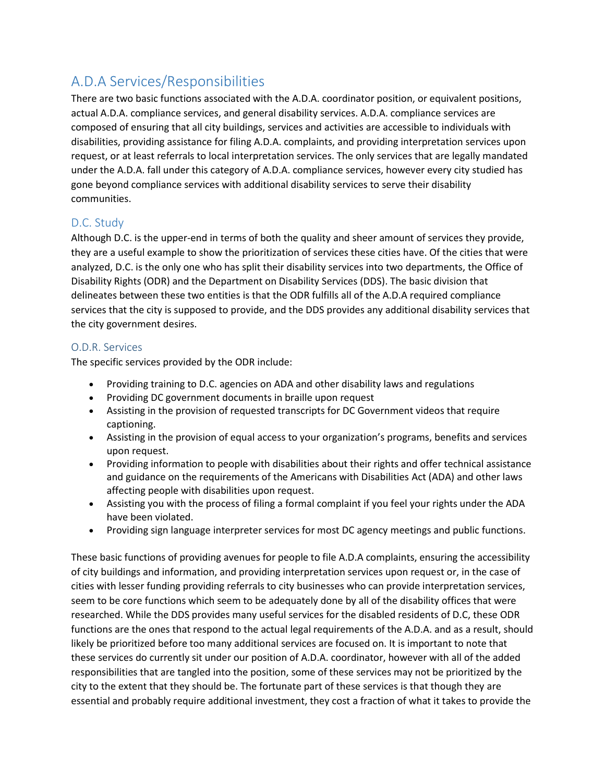# A.D.A Services/Responsibilities

There are two basic functions associated with the A.D.A. coordinator position, or equivalent positions, actual A.D.A. compliance services, and general disability services. A.D.A. compliance services are composed of ensuring that all city buildings, services and activities are accessible to individuals with disabilities, providing assistance for filing A.D.A. complaints, and providing interpretation services upon request, or at least referrals to local interpretation services. The only services that are legally mandated under the A.D.A. fall under this category of A.D.A. compliance services, however every city studied has gone beyond compliance services with additional disability services to serve their disability communities.

# D.C. Study

Although D.C. is the upper-end in terms of both the quality and sheer amount of services they provide, they are a useful example to show the prioritization of services these cities have. Of the cities that were analyzed, D.C. is the only one who has split their disability services into two departments, the Office of Disability Rights (ODR) and the Department on Disability Services (DDS). The basic division that delineates between these two entities is that the ODR fulfills all of the A.D.A required compliance services that the city is supposed to provide, and the DDS provides any additional disability services that the city government desires.

### O.D.R. Services

The specific services provided by the ODR include:

- Providing training to D.C. agencies on ADA and other disability laws and regulations
- Providing DC government documents in braille upon request
- Assisting in the provision of requested transcripts for DC Government videos that require captioning.
- Assisting in the provision of equal access to your organization's programs, benefits and services upon request.
- Providing information to people with disabilities about their rights and offer technical assistance and guidance on the requirements of the Americans with Disabilities Act (ADA) and other laws affecting people with disabilities upon request.
- Assisting you with the process of filing a formal complaint if you feel your rights under the ADA have been violated.
- Providing sign language interpreter services for most DC agency meetings and public functions.

These basic functions of providing avenues for people to file A.D.A complaints, ensuring the accessibility of city buildings and information, and providing interpretation services upon request or, in the case of cities with lesser funding providing referrals to city businesses who can provide interpretation services, seem to be core functions which seem to be adequately done by all of the disability offices that were researched. While the DDS provides many useful services for the disabled residents of D.C, these ODR functions are the ones that respond to the actual legal requirements of the A.D.A. and as a result, should likely be prioritized before too many additional services are focused on. It is important to note that these services do currently sit under our position of A.D.A. coordinator, however with all of the added responsibilities that are tangled into the position, some of these services may not be prioritized by the city to the extent that they should be. The fortunate part of these services is that though they are essential and probably require additional investment, they cost a fraction of what it takes to provide the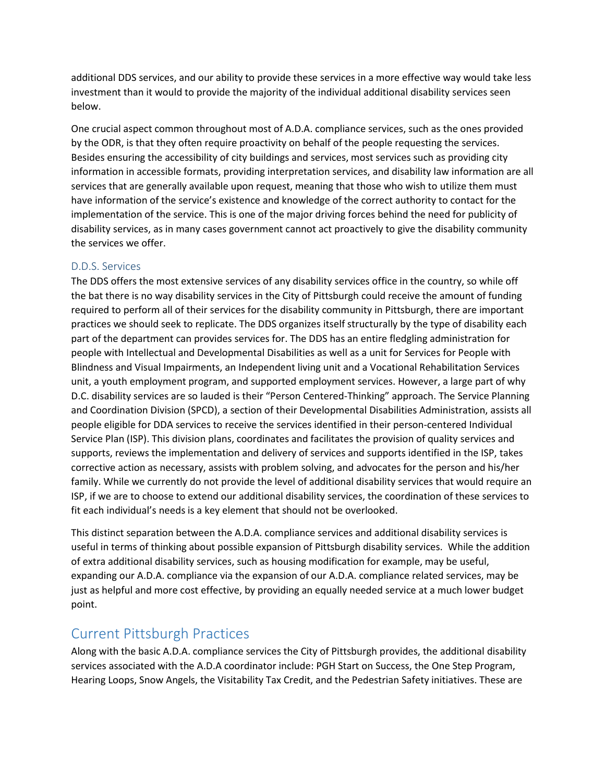additional DDS services, and our ability to provide these services in a more effective way would take less investment than it would to provide the majority of the individual additional disability services seen below.

One crucial aspect common throughout most of A.D.A. compliance services, such as the ones provided by the ODR, is that they often require proactivity on behalf of the people requesting the services. Besides ensuring the accessibility of city buildings and services, most services such as providing city information in accessible formats, providing interpretation services, and disability law information are all services that are generally available upon request, meaning that those who wish to utilize them must have information of the service's existence and knowledge of the correct authority to contact for the implementation of the service. This is one of the major driving forces behind the need for publicity of disability services, as in many cases government cannot act proactively to give the disability community the services we offer.

### D.D.S. Services

The DDS offers the most extensive services of any disability services office in the country, so while off the bat there is no way disability services in the City of Pittsburgh could receive the amount of funding required to perform all of their services for the disability community in Pittsburgh, there are important practices we should seek to replicate. The DDS organizes itself structurally by the type of disability each part of the department can provides services for. The DDS has an entire fledgling administration for people with Intellectual and Developmental Disabilities as well as a unit for Services for People with Blindness and Visual Impairments, an Independent living unit and a Vocational Rehabilitation Services unit, a youth employment program, and supported employment services. However, a large part of why D.C. disability services are so lauded is their "Person Centered-Thinking" approach. The Service Planning and Coordination Division (SPCD), a section of their Developmental Disabilities Administration, assists all people eligible for DDA services to receive the services identified in their person-centered Individual Service Plan (ISP). This division plans, coordinates and facilitates the provision of quality services and supports, reviews the implementation and delivery of services and supports identified in the ISP, takes corrective action as necessary, assists with problem solving, and advocates for the person and his/her family. While we currently do not provide the level of additional disability services that would require an ISP, if we are to choose to extend our additional disability services, the coordination of these services to fit each individual's needs is a key element that should not be overlooked.

This distinct separation between the A.D.A. compliance services and additional disability services is useful in terms of thinking about possible expansion of Pittsburgh disability services. While the addition of extra additional disability services, such as housing modification for example, may be useful, expanding our A.D.A. compliance via the expansion of our A.D.A. compliance related services, may be just as helpful and more cost effective, by providing an equally needed service at a much lower budget point.

# Current Pittsburgh Practices

Along with the basic A.D.A. compliance services the City of Pittsburgh provides, the additional disability services associated with the A.D.A coordinator include: PGH Start on Success, the One Step Program, Hearing Loops, Snow Angels, the Visitability Tax Credit, and the Pedestrian Safety initiatives. These are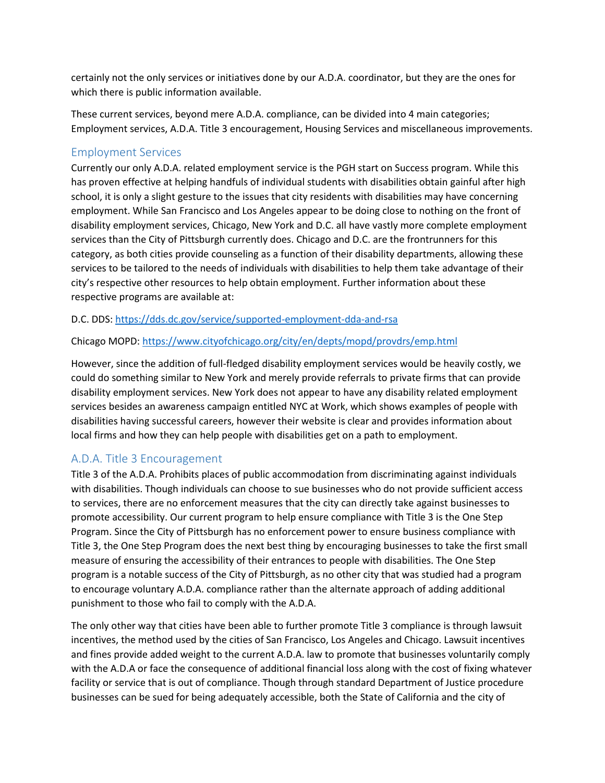certainly not the only services or initiatives done by our A.D.A. coordinator, but they are the ones for which there is public information available.

These current services, beyond mere A.D.A. compliance, can be divided into 4 main categories; Employment services, A.D.A. Title 3 encouragement, Housing Services and miscellaneous improvements.

### Employment Services

Currently our only A.D.A. related employment service is the PGH start on Success program. While this has proven effective at helping handfuls of individual students with disabilities obtain gainful after high school, it is only a slight gesture to the issues that city residents with disabilities may have concerning employment. While San Francisco and Los Angeles appear to be doing close to nothing on the front of disability employment services, Chicago, New York and D.C. all have vastly more complete employment services than the City of Pittsburgh currently does. Chicago and D.C. are the frontrunners for this category, as both cities provide counseling as a function of their disability departments, allowing these services to be tailored to the needs of individuals with disabilities to help them take advantage of their city's respective other resources to help obtain employment. Further information about these respective programs are available at:

D.C. DDS[: https://dds.dc.gov/service/supported-employment-dda-and-rsa](https://dds.dc.gov/service/supported-employment-dda-and-rsa) 

### Chicago MOPD:<https://www.cityofchicago.org/city/en/depts/mopd/provdrs/emp.html>

However, since the addition of full-fledged disability employment services would be heavily costly, we could do something similar to New York and merely provide referrals to private firms that can provide disability employment services. New York does not appear to have any disability related employment services besides an awareness campaign entitled NYC at Work, which shows examples of people with disabilities having successful careers, however their website is clear and provides information about local firms and how they can help people with disabilities get on a path to employment.

## A.D.A. Title 3 Encouragement

Title 3 of the A.D.A. Prohibits places of public accommodation from discriminating against individuals with disabilities. Though individuals can choose to sue businesses who do not provide sufficient access to services, there are no enforcement measures that the city can directly take against businesses to promote accessibility. Our current program to help ensure compliance with Title 3 is the One Step Program. Since the City of Pittsburgh has no enforcement power to ensure business compliance with Title 3, the One Step Program does the next best thing by encouraging businesses to take the first small measure of ensuring the accessibility of their entrances to people with disabilities. The One Step program is a notable success of the City of Pittsburgh, as no other city that was studied had a program to encourage voluntary A.D.A. compliance rather than the alternate approach of adding additional punishment to those who fail to comply with the A.D.A.

The only other way that cities have been able to further promote Title 3 compliance is through lawsuit incentives, the method used by the cities of San Francisco, Los Angeles and Chicago. Lawsuit incentives and fines provide added weight to the current A.D.A. law to promote that businesses voluntarily comply with the A.D.A or face the consequence of additional financial loss along with the cost of fixing whatever facility or service that is out of compliance. Though through standard Department of Justice procedure businesses can be sued for being adequately accessible, both the State of California and the city of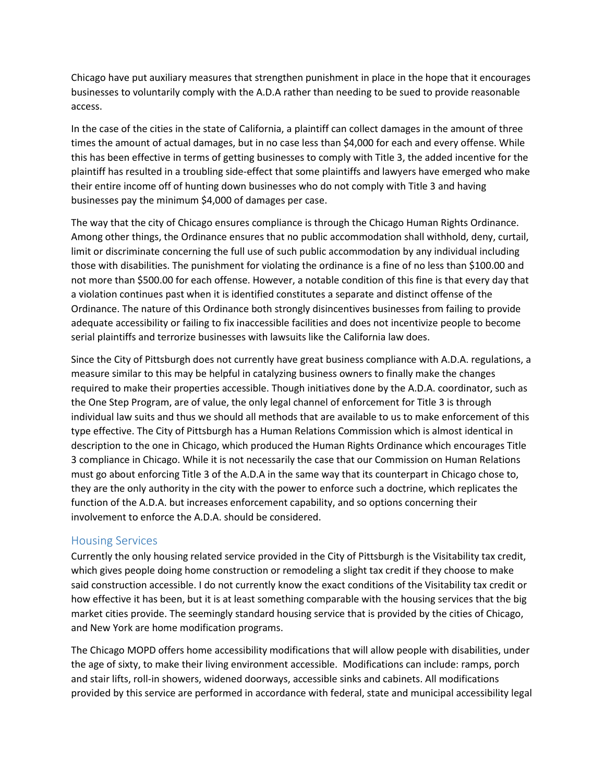Chicago have put auxiliary measures that strengthen punishment in place in the hope that it encourages businesses to voluntarily comply with the A.D.A rather than needing to be sued to provide reasonable access.

In the case of the cities in the state of California, a plaintiff can collect damages in the amount of three times the amount of actual damages, but in no case less than \$4,000 for each and every offense. While this has been effective in terms of getting businesses to comply with Title 3, the added incentive for the plaintiff has resulted in a troubling side-effect that some plaintiffs and lawyers have emerged who make their entire income off of hunting down businesses who do not comply with Title 3 and having businesses pay the minimum \$4,000 of damages per case.

The way that the city of Chicago ensures compliance is through the Chicago Human Rights Ordinance. Among other things, the Ordinance ensures that no public accommodation shall withhold, deny, curtail, limit or discriminate concerning the full use of such public accommodation by any individual including those with disabilities. The punishment for violating the ordinance is a fine of no less than \$100.00 and not more than \$500.00 for each offense. However, a notable condition of this fine is that every day that a violation continues past when it is identified constitutes a separate and distinct offense of the Ordinance. The nature of this Ordinance both strongly disincentives businesses from failing to provide adequate accessibility or failing to fix inaccessible facilities and does not incentivize people to become serial plaintiffs and terrorize businesses with lawsuits like the California law does.

Since the City of Pittsburgh does not currently have great business compliance with A.D.A. regulations, a measure similar to this may be helpful in catalyzing business owners to finally make the changes required to make their properties accessible. Though initiatives done by the A.D.A. coordinator, such as the One Step Program, are of value, the only legal channel of enforcement for Title 3 is through individual law suits and thus we should all methods that are available to us to make enforcement of this type effective. The City of Pittsburgh has a Human Relations Commission which is almost identical in description to the one in Chicago, which produced the Human Rights Ordinance which encourages Title 3 compliance in Chicago. While it is not necessarily the case that our Commission on Human Relations must go about enforcing Title 3 of the A.D.A in the same way that its counterpart in Chicago chose to, they are the only authority in the city with the power to enforce such a doctrine, which replicates the function of the A.D.A. but increases enforcement capability, and so options concerning their involvement to enforce the A.D.A. should be considered.

### Housing Services

Currently the only housing related service provided in the City of Pittsburgh is the Visitability tax credit, which gives people doing home construction or remodeling a slight tax credit if they choose to make said construction accessible. I do not currently know the exact conditions of the Visitability tax credit or how effective it has been, but it is at least something comparable with the housing services that the big market cities provide. The seemingly standard housing service that is provided by the cities of Chicago, and New York are home modification programs.

The Chicago MOPD offers home accessibility modifications that will allow people with disabilities, under the age of sixty, to make their living environment accessible. Modifications can include: ramps, porch and stair lifts, roll-in showers, widened doorways, accessible sinks and cabinets. All modifications provided by this service are performed in accordance with federal, state and municipal accessibility legal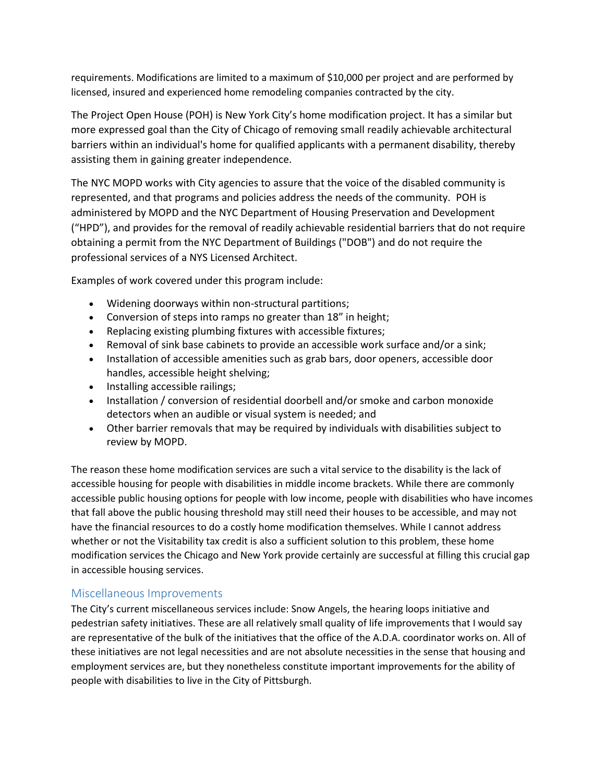requirements. Modifications are limited to a maximum of \$10,000 per project and are performed by licensed, insured and experienced home remodeling companies contracted by the city.

The Project Open House (POH) is New York City's home modification project. It has a similar but more expressed goal than the City of Chicago of removing small readily achievable architectural barriers within an individual's home for qualified applicants with a permanent disability, thereby assisting them in gaining greater independence.

The NYC MOPD works with City agencies to assure that the voice of the disabled community is represented, and that programs and policies address the needs of the community. POH is administered by MOPD and the NYC Department of Housing Preservation and Development ("HPD"), and provides for the removal of readily achievable residential barriers that do not require obtaining a permit from the NYC Department of Buildings ("DOB") and do not require the professional services of a NYS Licensed Architect.

Examples of work covered under this program include:

- Widening doorways within non-structural partitions;
- Conversion of steps into ramps no greater than 18" in height;
- Replacing existing plumbing fixtures with accessible fixtures;
- Removal of sink base cabinets to provide an accessible work surface and/or a sink;
- Installation of accessible amenities such as grab bars, door openers, accessible door handles, accessible height shelving;
- Installing accessible railings;
- Installation / conversion of residential doorbell and/or smoke and carbon monoxide detectors when an audible or visual system is needed; and
- Other barrier removals that may be required by individuals with disabilities subject to review by MOPD.

The reason these home modification services are such a vital service to the disability is the lack of accessible housing for people with disabilities in middle income brackets. While there are commonly accessible public housing options for people with low income, people with disabilities who have incomes that fall above the public housing threshold may still need their houses to be accessible, and may not have the financial resources to do a costly home modification themselves. While I cannot address whether or not the Visitability tax credit is also a sufficient solution to this problem, these home modification services the Chicago and New York provide certainly are successful at filling this crucial gap in accessible housing services.

### Miscellaneous Improvements

The City's current miscellaneous services include: Snow Angels, the hearing loops initiative and pedestrian safety initiatives. These are all relatively small quality of life improvements that I would say are representative of the bulk of the initiatives that the office of the A.D.A. coordinator works on. All of these initiatives are not legal necessities and are not absolute necessities in the sense that housing and employment services are, but they nonetheless constitute important improvements for the ability of people with disabilities to live in the City of Pittsburgh.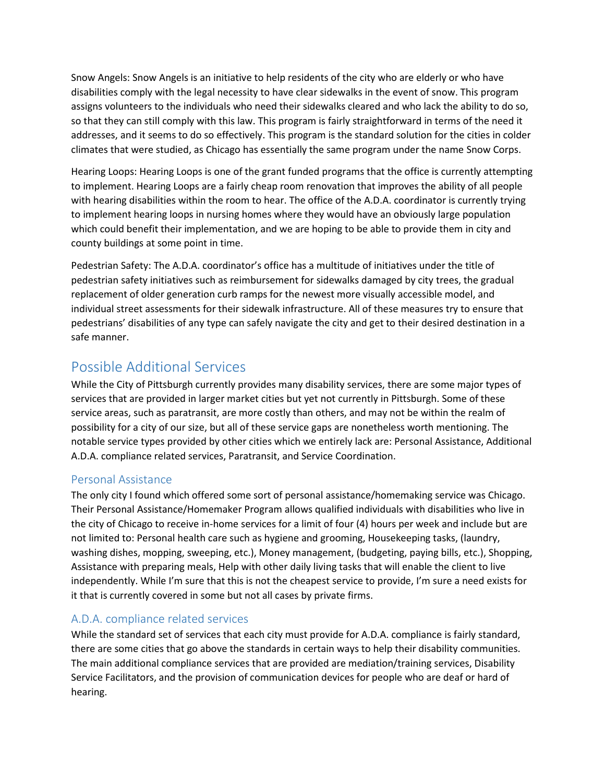Snow Angels: Snow Angels is an initiative to help residents of the city who are elderly or who have disabilities comply with the legal necessity to have clear sidewalks in the event of snow. This program assigns volunteers to the individuals who need their sidewalks cleared and who lack the ability to do so, so that they can still comply with this law. This program is fairly straightforward in terms of the need it addresses, and it seems to do so effectively. This program is the standard solution for the cities in colder climates that were studied, as Chicago has essentially the same program under the name Snow Corps.

Hearing Loops: Hearing Loops is one of the grant funded programs that the office is currently attempting to implement. Hearing Loops are a fairly cheap room renovation that improves the ability of all people with hearing disabilities within the room to hear. The office of the A.D.A. coordinator is currently trying to implement hearing loops in nursing homes where they would have an obviously large population which could benefit their implementation, and we are hoping to be able to provide them in city and county buildings at some point in time.

Pedestrian Safety: The A.D.A. coordinator's office has a multitude of initiatives under the title of pedestrian safety initiatives such as reimbursement for sidewalks damaged by city trees, the gradual replacement of older generation curb ramps for the newest more visually accessible model, and individual street assessments for their sidewalk infrastructure. All of these measures try to ensure that pedestrians' disabilities of any type can safely navigate the city and get to their desired destination in a safe manner.

# Possible Additional Services

While the City of Pittsburgh currently provides many disability services, there are some major types of services that are provided in larger market cities but yet not currently in Pittsburgh. Some of these service areas, such as paratransit, are more costly than others, and may not be within the realm of possibility for a city of our size, but all of these service gaps are nonetheless worth mentioning. The notable service types provided by other cities which we entirely lack are: Personal Assistance, Additional A.D.A. compliance related services, Paratransit, and Service Coordination.

# Personal Assistance

The only city I found which offered some sort of personal assistance/homemaking service was Chicago. Their Personal Assistance/Homemaker Program allows qualified individuals with disabilities who live in the city of Chicago to receive in-home services for a limit of four (4) hours per week and include but are not limited to: Personal health care such as hygiene and grooming, Housekeeping tasks, (laundry, washing dishes, mopping, sweeping, etc.), Money management, (budgeting, paying bills, etc.), Shopping, Assistance with preparing meals, Help with other daily living tasks that will enable the client to live independently. While I'm sure that this is not the cheapest service to provide, I'm sure a need exists for it that is currently covered in some but not all cases by private firms.

# A.D.A. compliance related services

While the standard set of services that each city must provide for A.D.A. compliance is fairly standard, there are some cities that go above the standards in certain ways to help their disability communities. The main additional compliance services that are provided are mediation/training services, Disability Service Facilitators, and the provision of communication devices for people who are deaf or hard of hearing.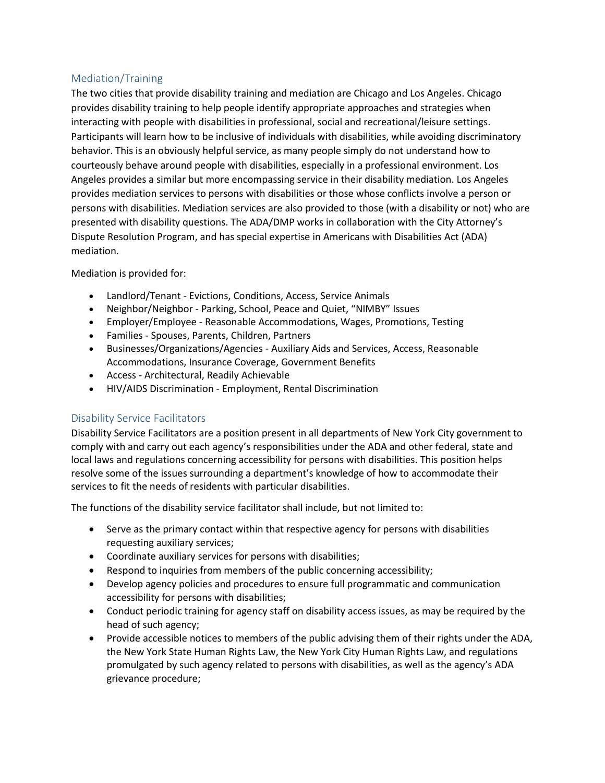### Mediation/Training

The two cities that provide disability training and mediation are Chicago and Los Angeles. Chicago provides disability training to help people identify appropriate approaches and strategies when interacting with people with disabilities in professional, social and recreational/leisure settings. Participants will learn how to be inclusive of individuals with disabilities, while avoiding discriminatory behavior. This is an obviously helpful service, as many people simply do not understand how to courteously behave around people with disabilities, especially in a professional environment. Los Angeles provides a similar but more encompassing service in their disability mediation. Los Angeles provides mediation services to persons with disabilities or those whose conflicts involve a person or persons with disabilities. Mediation services are also provided to those (with a disability or not) who are presented with disability questions. The ADA/DMP works in collaboration with the City Attorney's Dispute Resolution Program, and has special expertise in Americans with Disabilities Act (ADA) mediation.

#### Mediation is provided for:

- Landlord/Tenant Evictions, Conditions, Access, Service Animals
- Neighbor/Neighbor Parking, School, Peace and Quiet, "NIMBY" Issues
- Employer/Employee Reasonable Accommodations, Wages, Promotions, Testing
- Families Spouses, Parents, Children, Partners
- Businesses/Organizations/Agencies Auxiliary Aids and Services, Access, Reasonable Accommodations, Insurance Coverage, Government Benefits
- Access Architectural, Readily Achievable
- HIV/AIDS Discrimination Employment, Rental Discrimination

### Disability Service Facilitators

Disability Service Facilitators are a position present in all departments of New York City government to comply with and carry out each agency's responsibilities under the ADA and other federal, state and local laws and regulations concerning accessibility for persons with disabilities. This position helps resolve some of the issues surrounding a department's knowledge of how to accommodate their services to fit the needs of residents with particular disabilities.

The functions of the disability service facilitator shall include, but not limited to:

- Serve as the primary contact within that respective agency for persons with disabilities requesting auxiliary services;
- Coordinate auxiliary services for persons with disabilities;
- Respond to inquiries from members of the public concerning accessibility;
- Develop agency policies and procedures to ensure full programmatic and communication accessibility for persons with disabilities;
- Conduct periodic training for agency staff on disability access issues, as may be required by the head of such agency;
- Provide accessible notices to members of the public advising them of their rights under the ADA, the New York State Human Rights Law, the New York City Human Rights Law, and regulations promulgated by such agency related to persons with disabilities, as well as the agency's ADA grievance procedure;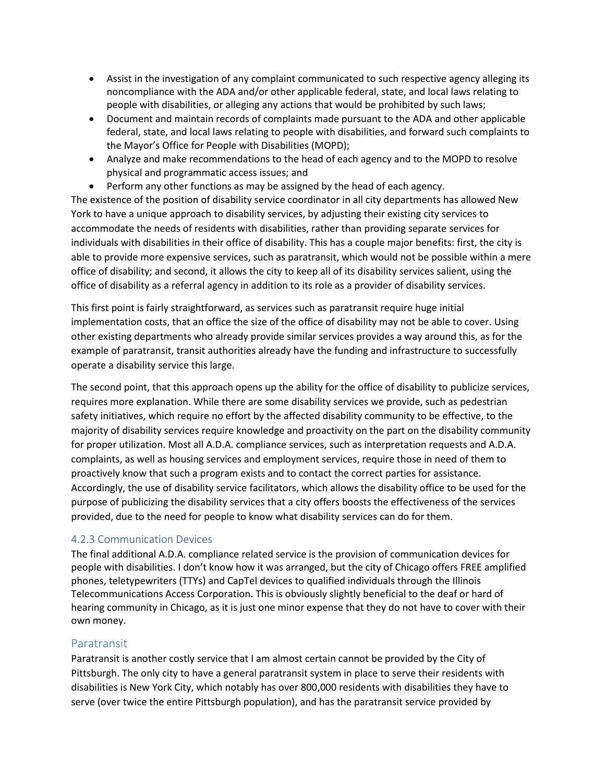- Assist in the investigation of any complaint communicated to such respective agency alleging its noncompliance with the ADA and/or other applicable federal, state, and local laws relating to people with disabilities, or alleging any actions that would be prohibited by such laws;
- Document and maintain records of complaints made pursuant to the ADA and other applicable federal, state, and local laws relating to people with disabilities, and forward such complaints to the Mayor's Office for People with Disabilities (MOPD);
- Analyze and make recommendations to the head of each agency and to the MOPD to resolve physical and programmatic access issues; and
- Perform any other functions as may be assigned by the head of each agency.

The existence of the position of disability service coordinator in all city departments has allowed New York to have a unique approach to disability services, by adjusting their existing city services to accommodate the needs of residents with disabilities, rather than providing separate services for individuals with disabilities in their office of disability. This has a couple major benefits: first, the city is able to provide more expensive services, such as paratransit, which would not be possible within a mere office of disability; and second, it allows the city to keep all of its disability services salient, using the office of disability as a referral agency in addition to its role as a provider of disability services.

This first point is fairly straightforward, as services such as paratransit require huge initial implementation costs, that an office the size of the office of disability may not be able to cover. Using other existing departments who already provide similar services provides a way around this, as for the example of paratransit, transit authorities already have the funding and infrastructure to successfully operate a disability service this large.

The second point, that this approach opens up the ability for the office of disability to publicize services, requires more explanation. While there are some disability services we provide, such as pedestrian safety initiatives, which require no effort by the affected disability community to be effective, to the majority of disability services require knowledge and proactivity on the part on the disability community for proper utilization. Most all A.D.A. compliance services, such as interpretation requests and A.D.A. complaints, as well as housing services and employment services, require those in need of them to proactively know that such a program exists and to contact the correct parties for assistance. Accordingly, the use of disability service facilitators, which allows the disability office to be used for the purpose of publicizing the disability services that a city offers boosts the effectiveness of the services provided, due to the need for people to know what disability services can do for them.

## 4.2.3 Communication Devices

The final additional A.D.A. compliance related service is the provision of communication devices for people with disabilities. I don't know how it was arranged, but the city of Chicago offers FREE amplified phones, teletypewriters (TTYs) and CapTel devices to qualified individuals through the Illinois Telecommunications Access Corporation. This is obviously slightly beneficial to the deaf or hard of hearing community in Chicago, as it is just one minor expense that they do not have to cover with their own money.

## Paratransit

Paratransit is another costly service that I am almost certain cannot be provided by the City of Pittsburgh. The only city to have a general paratransit system in place to serve their residents with disabilities is New York City, which notably has over 800,000 residents with disabilities they have to serve (over twice the entire Pittsburgh population), and has the paratransit service provided by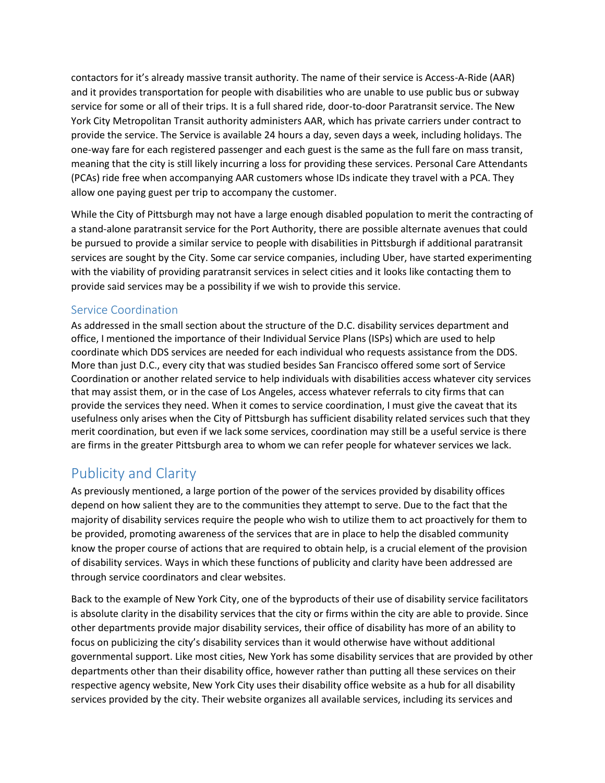contactors for it's already massive transit authority. The name of their service is Access-A-Ride (AAR) and it provides transportation for people with disabilities who are unable to use public bus or subway service for some or all of their trips. It is a full shared ride, door-to-door Paratransit service. The New York City Metropolitan Transit authority administers AAR, which has private carriers under contract to provide the service. The Service is available 24 hours a day, seven days a week, including holidays. The one-way fare for each registered passenger and each guest is the same as the full fare on mass transit, meaning that the city is still likely incurring a loss for providing these services. Personal Care Attendants (PCAs) ride free when accompanying AAR customers whose IDs indicate they travel with a PCA. They allow one paying guest per trip to accompany the customer.

While the City of Pittsburgh may not have a large enough disabled population to merit the contracting of a stand-alone paratransit service for the Port Authority, there are possible alternate avenues that could be pursued to provide a similar service to people with disabilities in Pittsburgh if additional paratransit services are sought by the City. Some car service companies, including Uber, have started experimenting with the viability of providing paratransit services in select cities and it looks like contacting them to provide said services may be a possibility if we wish to provide this service.

# Service Coordination

As addressed in the small section about the structure of the D.C. disability services department and office, I mentioned the importance of their Individual Service Plans (ISPs) which are used to help coordinate which DDS services are needed for each individual who requests assistance from the DDS. More than just D.C., every city that was studied besides San Francisco offered some sort of Service Coordination or another related service to help individuals with disabilities access whatever city services that may assist them, or in the case of Los Angeles, access whatever referrals to city firms that can provide the services they need. When it comes to service coordination, I must give the caveat that its usefulness only arises when the City of Pittsburgh has sufficient disability related services such that they merit coordination, but even if we lack some services, coordination may still be a useful service is there are firms in the greater Pittsburgh area to whom we can refer people for whatever services we lack.

# Publicity and Clarity

As previously mentioned, a large portion of the power of the services provided by disability offices depend on how salient they are to the communities they attempt to serve. Due to the fact that the majority of disability services require the people who wish to utilize them to act proactively for them to be provided, promoting awareness of the services that are in place to help the disabled community know the proper course of actions that are required to obtain help, is a crucial element of the provision of disability services. Ways in which these functions of publicity and clarity have been addressed are through service coordinators and clear websites.

Back to the example of New York City, one of the byproducts of their use of disability service facilitators is absolute clarity in the disability services that the city or firms within the city are able to provide. Since other departments provide major disability services, their office of disability has more of an ability to focus on publicizing the city's disability services than it would otherwise have without additional governmental support. Like most cities, New York has some disability services that are provided by other departments other than their disability office, however rather than putting all these services on their respective agency website, New York City uses their disability office website as a hub for all disability services provided by the city. Their website organizes all available services, including its services and